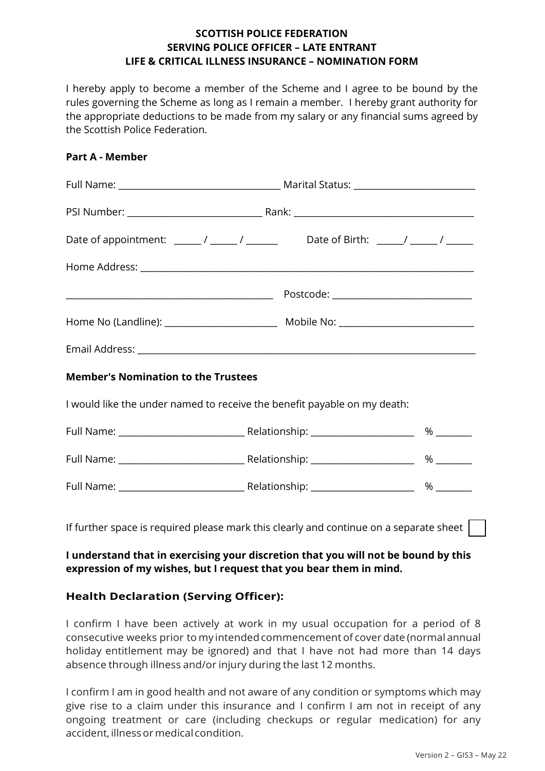## **SCOTTISH POLICE FEDERATION SERVING POLICE OFFICER – LATE ENTRANT LIFE & CRITICAL ILLNESS INSURANCE – NOMINATION FORM**

I hereby apply to become a member of the Scheme and I agree to be bound by the rules governing the Scheme as long as I remain a member. I hereby grant authority for the appropriate deductions to be made from my salary or any financial sums agreed by the Scottish Police Federation.

#### **Part A - Member**

| Date of appointment: ______/ ______/ ______________Date of Birth: _____/ ______/ ______ |                                           |      |  |  |
|-----------------------------------------------------------------------------------------|-------------------------------------------|------|--|--|
|                                                                                         |                                           |      |  |  |
|                                                                                         | Postcode: _______________________________ |      |  |  |
|                                                                                         |                                           |      |  |  |
|                                                                                         |                                           |      |  |  |
| <b>Member's Nomination to the Trustees</b>                                              |                                           |      |  |  |
| I would like the under named to receive the benefit payable on my death:                |                                           |      |  |  |
|                                                                                         |                                           |      |  |  |
|                                                                                         |                                           |      |  |  |
|                                                                                         |                                           | $\%$ |  |  |
|                                                                                         |                                           |      |  |  |

If further space is required please mark this clearly and continue on a separate sheet

# **I understand that in exercising your discretion that you will not be bound by this expression of my wishes, but I request that you bear them in mind.**

# **Health Declaration (Serving Officer):**

I confirm I have been actively at work in my usual occupation for a period of 8 consecutive weeks prior to my intended commencement of cover date (normal annual holiday entitlement may be ignored) and that I have not had more than 14 days absence through illness and/or injury during the last 12 months.

I confirm I am in good health and not aware of any condition or symptoms which may give rise to a claim under this insurance and I confirm I am not in receipt of any ongoing treatment or care (including checkups or regular medication) for any accident, illness or medical condition.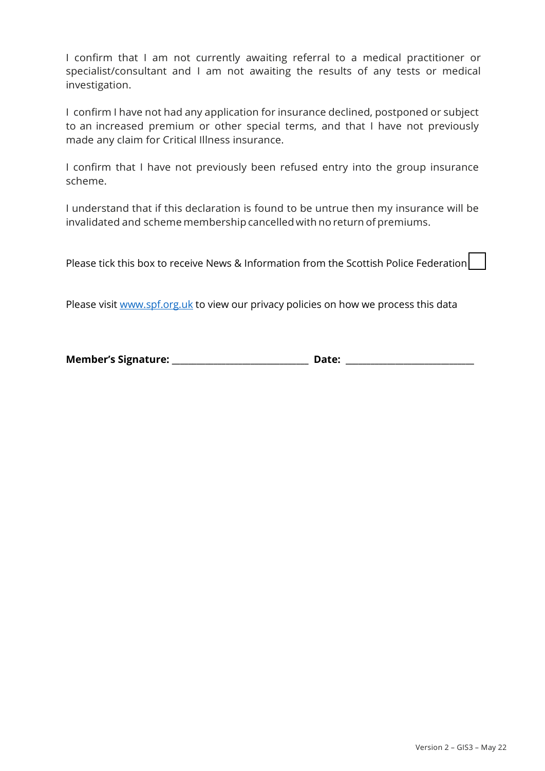I confirm that I am not currently awaiting referral to a medical practitioner or specialist/consultant and I am not awaiting the results of any tests or medical investigation.

I confirm I have not had any application for insurance declined, postponed or subject to an increased premium or other special terms, and that I have not previously made any claim for Critical Illness insurance.

I confirm that I have not previously been refused entry into the group insurance scheme.

I understand that if this declaration is found to be untrue then my insurance will be invalidated and scheme membership cancelled with no return of premiums.

Please tick this box to receive News & Information from the Scottish Police Federation

Please visit [www.spf.org.uk](http://www.spf.org.uk/) to view our privacy policies on how we process this data

**Member's Signature: \_\_\_\_\_\_\_\_\_\_\_\_\_\_\_\_\_\_\_\_\_\_\_\_\_\_\_\_\_\_\_\_\_ Date: \_\_\_\_\_\_\_\_\_\_\_\_\_\_\_\_\_\_\_\_\_\_\_\_\_\_\_\_\_\_\_**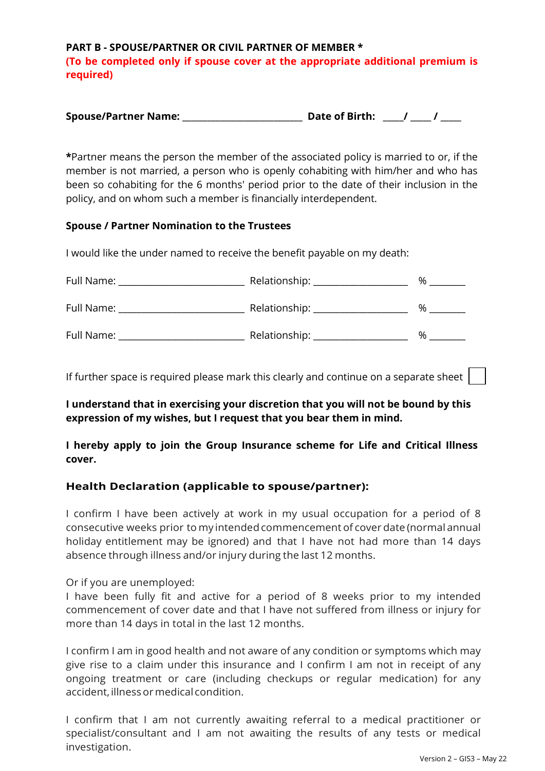**PART B - SPOUSE/PARTNER OR CIVIL PARTNER OF MEMBER \* (To be completed only if spouse cover at the appropriate additional premium is required)** 

| <b>Spouse/Partner Name:</b> | Date of Birth: |
|-----------------------------|----------------|
|-----------------------------|----------------|

**\***Partner means the person the member of the associated policy is married to or, if the member is not married, a person who is openly cohabiting with him/her and who has been so cohabiting for the 6 months' period prior to the date of their inclusion in the policy, and on whom such a member is financially interdependent.

### **Spouse / Partner Nomination to the Trustees**

I would like the under named to receive the benefit payable on my death:

| Full Name: | Relationship: | % |
|------------|---------------|---|
| Full Name: | Relationship: | % |
| Full Name: | Relationship: | % |

If further space is required please mark this clearly and continue on a separate sheet

**I understand that in exercising your discretion that you will not be bound by this expression of my wishes, but I request that you bear them in mind.** 

**I hereby apply to join the Group Insurance scheme for Life and Critical Illness cover.** 

## **Health Declaration (applicable to spouse/partner):**

I confirm I have been actively at work in my usual occupation for a period of 8 consecutive weeks prior to my intended commencement of cover date (normal annual holiday entitlement may be ignored) and that I have not had more than 14 days absence through illness and/or injury during the last 12 months.

Or if you are unemployed:

I have been fully fit and active for a period of 8 weeks prior to my intended commencement of cover date and that I have not suffered from illness or injury for more than 14 days in total in the last 12 months.

I confirm I am in good health and not aware of any condition or symptoms which may give rise to a claim under this insurance and I confirm I am not in receipt of any ongoing treatment or care (including checkups or regular medication) for any accident, illness or medical condition.

I confirm that I am not currently awaiting referral to a medical practitioner or specialist/consultant and I am not awaiting the results of any tests or medical investigation.